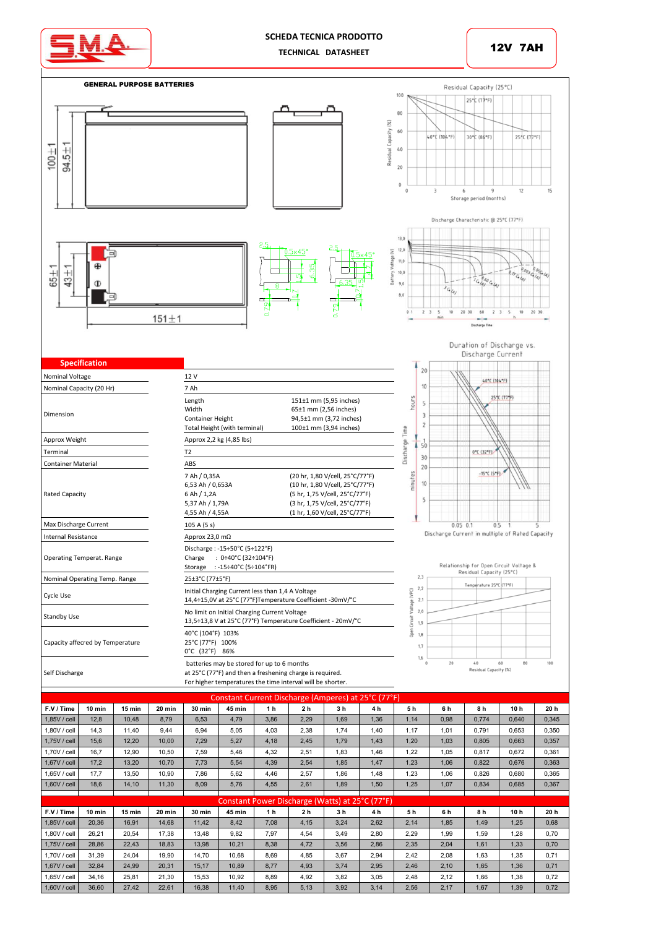

## **SCHEDA TECNICA PRODOTTO TECHNICAL DATASHEET**





1,65V/cell 34,16 25,81 21,30 15,53 10,92 8,89 4,92 3,82 3,05 2,48 2,12 1,66 1,38 0,72 1,60V / cell 36,60 | 27,42 | 22,61 | 16,38 | 11,40 | 8,95 | 5,13 | 3,92 | 3,14 | 2,56 | 2,17 | 1,67 | 1,39 | 0,72